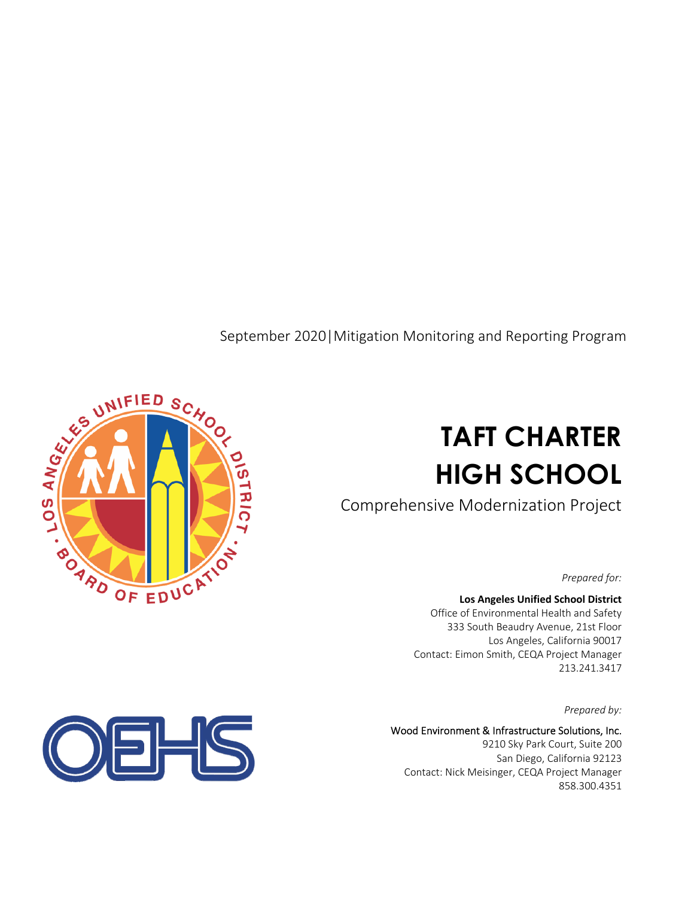September 2020|Mitigation Monitoring and Reporting Program

# **TAFT CHARTER HIGH SCHOOL**

Comprehensive Modernization Project

*Prepared for:*

#### **Los Angeles Unified School District**

Office of Environmental Health and Safety 333 South Beaudry Avenue, 21st Floor Los Angeles, California 90017 Contact: Eimon Smith, CEQA Project Manager 213.241.3417

*Prepared by:*

#### Wood Environment & Infrastructure Solutions, Inc. 9210 Sky Park Court, Suite 200 San Diego, California 92123

Contact: Nick Meisinger, CEQA Project Manager 858.300.4351



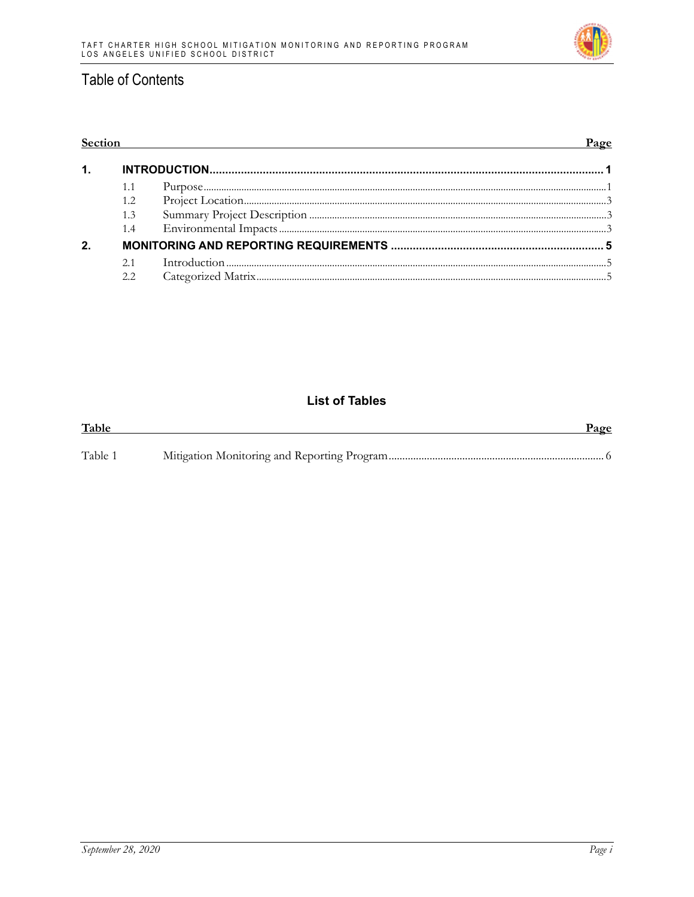### **Table of Contents**

| Section     |     | Page |
|-------------|-----|------|
| $\mathbf 1$ |     |      |
|             |     |      |
|             | 1.2 |      |
|             | 1.3 |      |
|             | 1.4 |      |
| 2.          |     |      |
|             | 2.1 |      |
|             |     |      |

#### **List of Tables**

| Table   | Page |
|---------|------|
|         |      |
| Table 1 |      |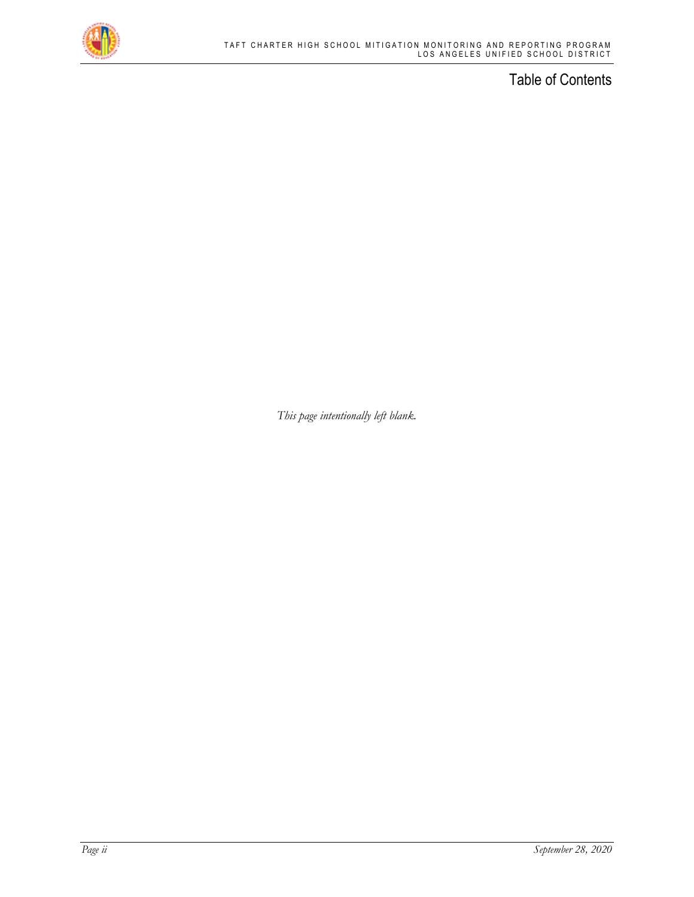

### Table of Contents

*This page intentionally left blank.*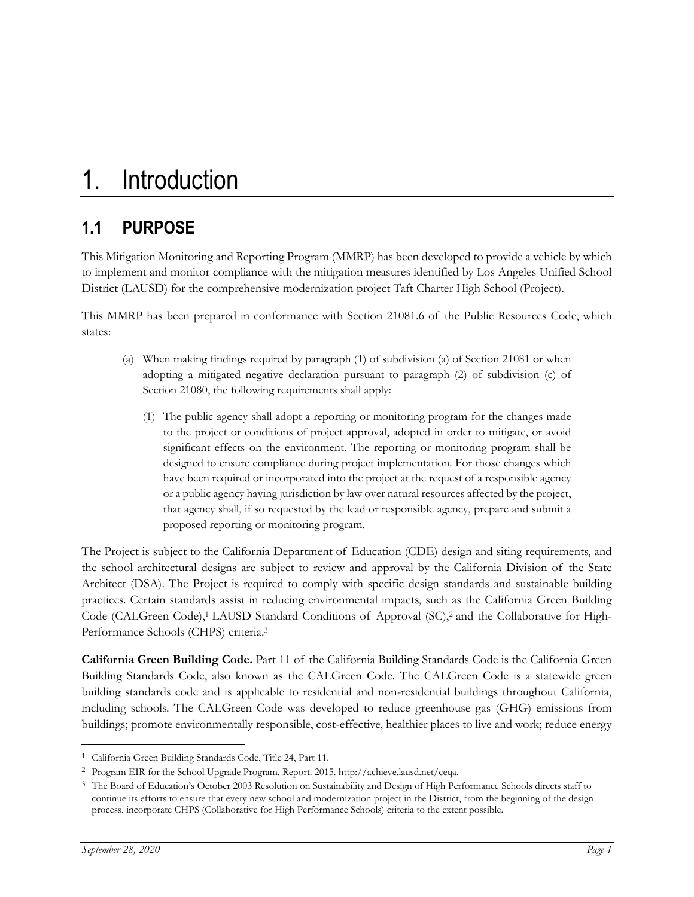# **1.1 PURPOSE**

This Mitigation Monitoring and Reporting Program (MMRP) has been developed to provide a vehicle by which to implement and monitor compliance with the mitigation measures identified by Los Angeles Unified School District (LAUSD) for the comprehensive modernization project Taft Charter High School (Project).

This MMRP has been prepared in conformance with Section 21081.6 of the Public Resources Code, which states:

- (a) When making findings required by paragraph (1) of subdivision (a) of Section 21081 or when adopting a mitigated negative declaration pursuant to paragraph (2) of subdivision (c) of Section 21080, the following requirements shall apply:
	- (1) The public agency shall adopt a reporting or monitoring program for the changes made to the project or conditions of project approval, adopted in order to mitigate, or avoid significant effects on the environment. The reporting or monitoring program shall be designed to ensure compliance during project implementation. For those changes which have been required or incorporated into the project at the request of a responsible agency or a public agency having jurisdiction by law over natural resources affected by the project, that agency shall, if so requested by the lead or responsible agency, prepare and submit a proposed reporting or monitoring program.

The Project is subject to the California Department of Education (CDE) design and siting requirements, and the school architectural designs are subject to review and approval by the California Division of the State Architect (DSA). The Project is required to comply with specific design standards and sustainable building practices. Certain standards assist in reducing environmental impacts, such as the California Green Building Code (CALGreen Code),<sup>1</sup> LAUSD Standard Conditions of Approval (SC),<sup>2</sup> and the Collaborative for High-Performance Schools (CHPS) criteria.3

**California Green Building Code.** Part 11 of the California Building Standards Code is the California Green Building Standards Code, also known as the CALGreen Code. The CALGreen Code is a statewide green building standards code and is applicable to residential and non-residential buildings throughout California, including schools. The CALGreen Code was developed to reduce greenhouse gas (GHG) emissions from buildings; promote environmentally responsible, cost-effective, healthier places to live and work; reduce energy

<sup>1</sup> California Green Building Standards Code, Title 24, Part 11.

<sup>2</sup> Program EIR for the School Upgrade Program. Report. 2015. http://achieve.lausd.net/ceqa.

<sup>&</sup>lt;sup>3</sup> The Board of Education's October 2003 Resolution on Sustainability and Design of High Performance Schools directs staff to continue its efforts to ensure that every new school and modernization project in the District, from the beginning of the design process, incorporate CHPS (Collaborative for High Performance Schools) criteria to the extent possible.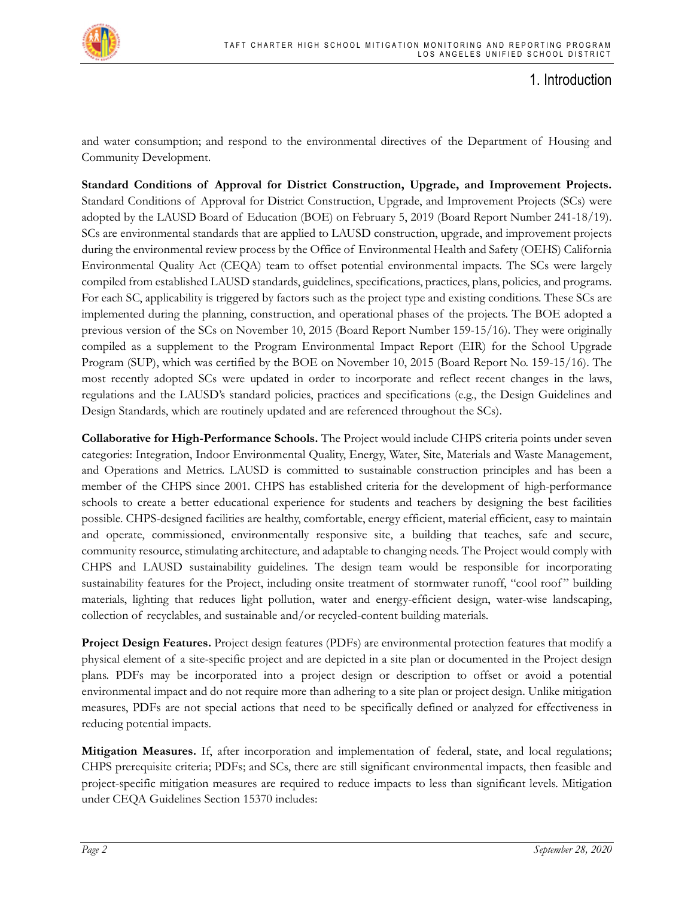

and water consumption; and respond to the environmental directives of the Department of Housing and Community Development.

**Standard Conditions of Approval for District Construction, Upgrade, and Improvement Projects.** Standard Conditions of Approval for District Construction, Upgrade, and Improvement Projects (SCs) were adopted by the LAUSD Board of Education (BOE) on February 5, 2019 (Board Report Number 241-18/19). SCs are environmental standards that are applied to LAUSD construction, upgrade, and improvement projects during the environmental review process by the Office of Environmental Health and Safety (OEHS) California Environmental Quality Act (CEQA) team to offset potential environmental impacts. The SCs were largely compiled from established LAUSD standards, guidelines, specifications, practices, plans, policies, and programs. For each SC, applicability is triggered by factors such as the project type and existing conditions. These SCs are implemented during the planning, construction, and operational phases of the projects. The BOE adopted a previous version of the SCs on November 10, 2015 (Board Report Number 159-15/16). They were originally compiled as a supplement to the Program Environmental Impact Report (EIR) for the School Upgrade Program (SUP), which was certified by the BOE on November 10, 2015 (Board Report No. 159-15/16). The most recently adopted SCs were updated in order to incorporate and reflect recent changes in the laws, regulations and the LAUSD's standard policies, practices and specifications (e.g., the Design Guidelines and Design Standards, which are routinely updated and are referenced throughout the SCs).

**Collaborative for High-Performance Schools.** The Project would include CHPS criteria points under seven categories: Integration, Indoor Environmental Quality, Energy, Water, Site, Materials and Waste Management, and Operations and Metrics. LAUSD is committed to sustainable construction principles and has been a member of the CHPS since 2001. CHPS has established criteria for the development of high-performance schools to create a better educational experience for students and teachers by designing the best facilities possible. CHPS-designed facilities are healthy, comfortable, energy efficient, material efficient, easy to maintain and operate, commissioned, environmentally responsive site, a building that teaches, safe and secure, community resource, stimulating architecture, and adaptable to changing needs. The Project would comply with CHPS and LAUSD sustainability guidelines. The design team would be responsible for incorporating sustainability features for the Project, including onsite treatment of stormwater runoff, "cool roof" building materials, lighting that reduces light pollution, water and energy-efficient design, water-wise landscaping, collection of recyclables, and sustainable and/or recycled-content building materials.

**Project Design Features.** Project design features (PDFs) are environmental protection features that modify a physical element of a site-specific project and are depicted in a site plan or documented in the Project design plans. PDFs may be incorporated into a project design or description to offset or avoid a potential environmental impact and do not require more than adhering to a site plan or project design. Unlike mitigation measures, PDFs are not special actions that need to be specifically defined or analyzed for effectiveness in reducing potential impacts.

**Mitigation Measures.** If, after incorporation and implementation of federal, state, and local regulations; CHPS prerequisite criteria; PDFs; and SCs, there are still significant environmental impacts, then feasible and project-specific mitigation measures are required to reduce impacts to less than significant levels. Mitigation under CEQA Guidelines Section 15370 includes: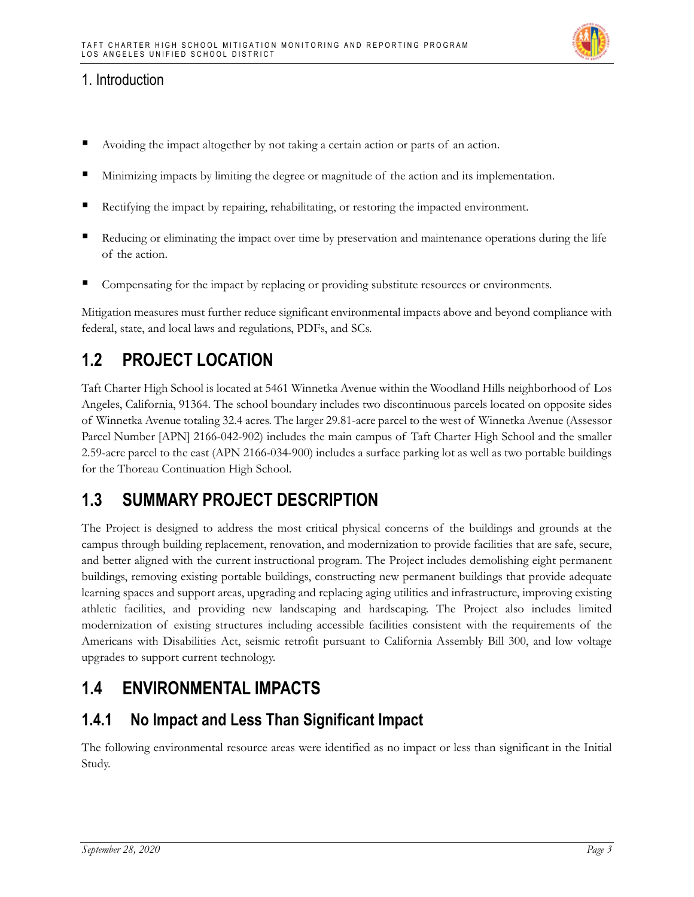

- Avoiding the impact altogether by not taking a certain action or parts of an action.
- Minimizing impacts by limiting the degree or magnitude of the action and its implementation.
- Rectifying the impact by repairing, rehabilitating, or restoring the impacted environment.
- Reducing or eliminating the impact over time by preservation and maintenance operations during the life of the action.
- Compensating for the impact by replacing or providing substitute resources or environments.

Mitigation measures must further reduce significant environmental impacts above and beyond compliance with federal, state, and local laws and regulations, PDFs, and SCs.

# **1.2 PROJECT LOCATION**

Taft Charter High School is located at 5461 Winnetka Avenue within the Woodland Hills neighborhood of Los Angeles, California, 91364. The school boundary includes two discontinuous parcels located on opposite sides of Winnetka Avenue totaling 32.4 acres. The larger 29.81-acre parcel to the west of Winnetka Avenue (Assessor Parcel Number [APN] 2166-042-902) includes the main campus of Taft Charter High School and the smaller 2.59-acre parcel to the east (APN 2166-034-900) includes a surface parking lot as well as two portable buildings for the Thoreau Continuation High School.

# **1.3 SUMMARY PROJECT DESCRIPTION**

The Project is designed to address the most critical physical concerns of the buildings and grounds at the campus through building replacement, renovation, and modernization to provide facilities that are safe, secure, and better aligned with the current instructional program. The Project includes demolishing eight permanent buildings, removing existing portable buildings, constructing new permanent buildings that provide adequate learning spaces and support areas, upgrading and replacing aging utilities and infrastructure, improving existing athletic facilities, and providing new landscaping and hardscaping. The Project also includes limited modernization of existing structures including accessible facilities consistent with the requirements of the Americans with Disabilities Act, seismic retrofit pursuant to California Assembly Bill 300, and low voltage upgrades to support current technology.

# **1.4 ENVIRONMENTAL IMPACTS**

#### **1.4.1 No Impact and Less Than Significant Impact**

The following environmental resource areas were identified as no impact or less than significant in the Initial Study.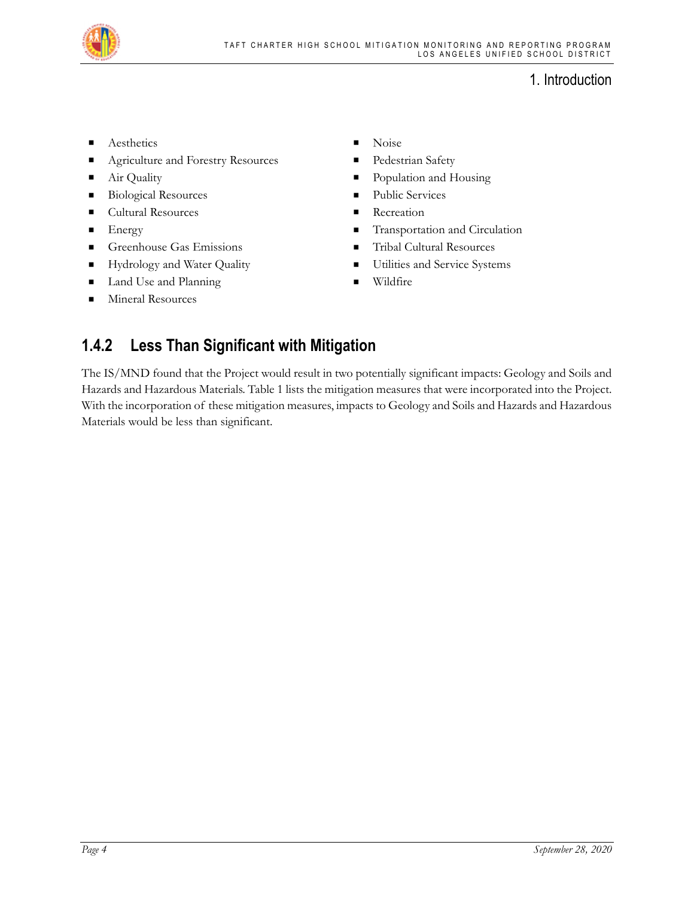

- **Aesthetics**
- **Agriculture and Forestry Resources**
- Air Quality
- Biological Resources
- Cultural Resources
- $\blacksquare$  Energy
- Greenhouse Gas Emissions
- Hydrology and Water Quality
- Land Use and Planning
- **Mineral Resources**
- **Noise**
- **Pedestrian Safety**
- Population and Housing
- Public Services
- Recreation
- Transportation and Circulation
- Tribal Cultural Resources
- Utilities and Service Systems
- Wildfire

### **1.4.2 Less Than Significant with Mitigation**

The IS/MND found that the Project would result in two potentially significant impacts: Geology and Soils and Hazards and Hazardous Materials. Table 1 lists the mitigation measures that were incorporated into the Project. With the incorporation of these mitigation measures, impacts to Geology and Soils and Hazards and Hazardous Materials would be less than significant.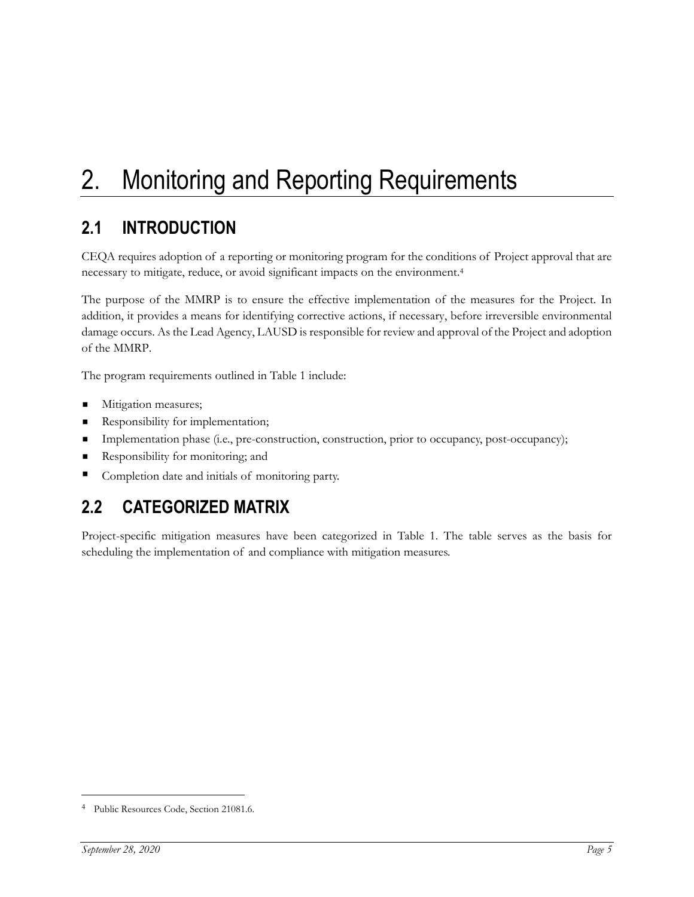# 2. Monitoring and Reporting Requirements

# **2.1 INTRODUCTION**

CEQA requires adoption of a reporting or monitoring program for the conditions of Project approval that are necessary to mitigate, reduce, or avoid significant impacts on the environment.4

The purpose of the MMRP is to ensure the effective implementation of the measures for the Project. In addition, it provides a means for identifying corrective actions, if necessary, before irreversible environmental damage occurs. As the Lead Agency, LAUSD is responsible for review and approval of the Project and adoption of the MMRP.

The program requirements outlined in Table 1 include:

- **Mitigation measures;**
- Responsibility for implementation;
- Implementation phase (i.e., pre-construction, construction, prior to occupancy, post-occupancy);
- Responsibility for monitoring; and
- Completion date and initials of monitoring party.

# **2.2 CATEGORIZED MATRIX**

Project-specific mitigation measures have been categorized in Table 1. The table serves as the basis for scheduling the implementation of and compliance with mitigation measures.

<sup>4</sup> Public Resources Code, Section 21081.6.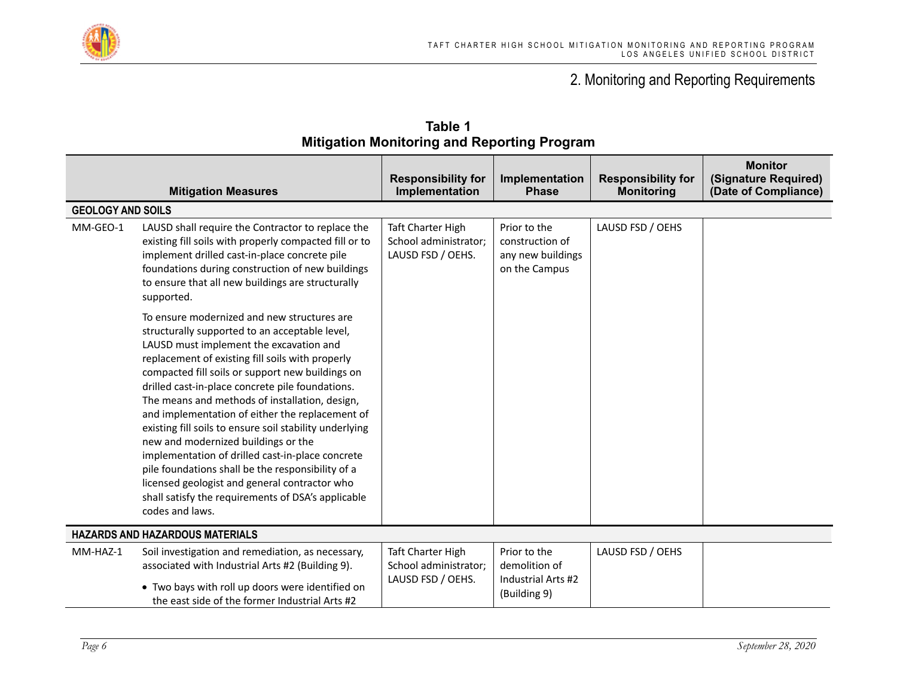

# 2. Monitoring and Reporting Requirements

|                                        | <b>Mitigation Measures</b>                                                                                                                                                                                                                                                                                                                                                                                                                                                                                                                                                                                                                                                                                                                     | <b>Responsibility for</b><br>Implementation                     | Implementation<br><b>Phase</b>                                        | <b>Responsibility for</b><br><b>Monitoring</b> | <b>Monitor</b><br>(Signature Required)<br>(Date of Compliance) |  |
|----------------------------------------|------------------------------------------------------------------------------------------------------------------------------------------------------------------------------------------------------------------------------------------------------------------------------------------------------------------------------------------------------------------------------------------------------------------------------------------------------------------------------------------------------------------------------------------------------------------------------------------------------------------------------------------------------------------------------------------------------------------------------------------------|-----------------------------------------------------------------|-----------------------------------------------------------------------|------------------------------------------------|----------------------------------------------------------------|--|
| <b>GEOLOGY AND SOILS</b>               |                                                                                                                                                                                                                                                                                                                                                                                                                                                                                                                                                                                                                                                                                                                                                |                                                                 |                                                                       |                                                |                                                                |  |
| MM-GEO-1                               | LAUSD shall require the Contractor to replace the<br>existing fill soils with properly compacted fill or to<br>implement drilled cast-in-place concrete pile<br>foundations during construction of new buildings<br>to ensure that all new buildings are structurally<br>supported.                                                                                                                                                                                                                                                                                                                                                                                                                                                            | Taft Charter High<br>School administrator;<br>LAUSD FSD / OEHS. | Prior to the<br>construction of<br>any new buildings<br>on the Campus | LAUSD FSD / OEHS                               |                                                                |  |
|                                        | To ensure modernized and new structures are<br>structurally supported to an acceptable level,<br>LAUSD must implement the excavation and<br>replacement of existing fill soils with properly<br>compacted fill soils or support new buildings on<br>drilled cast-in-place concrete pile foundations.<br>The means and methods of installation, design,<br>and implementation of either the replacement of<br>existing fill soils to ensure soil stability underlying<br>new and modernized buildings or the<br>implementation of drilled cast-in-place concrete<br>pile foundations shall be the responsibility of a<br>licensed geologist and general contractor who<br>shall satisfy the requirements of DSA's applicable<br>codes and laws. |                                                                 |                                                                       |                                                |                                                                |  |
| <b>HAZARDS AND HAZARDOUS MATERIALS</b> |                                                                                                                                                                                                                                                                                                                                                                                                                                                                                                                                                                                                                                                                                                                                                |                                                                 |                                                                       |                                                |                                                                |  |
| MM-HAZ-1                               | Soil investigation and remediation, as necessary,<br>associated with Industrial Arts #2 (Building 9).<br>. Two bays with roll up doors were identified on                                                                                                                                                                                                                                                                                                                                                                                                                                                                                                                                                                                      | Taft Charter High<br>School administrator;<br>LAUSD FSD / OEHS. | Prior to the<br>demolition of<br>Industrial Arts #2<br>(Building 9)   | LAUSD FSD / OEHS                               |                                                                |  |
|                                        | the east side of the former Industrial Arts #2                                                                                                                                                                                                                                                                                                                                                                                                                                                                                                                                                                                                                                                                                                 |                                                                 |                                                                       |                                                |                                                                |  |

| Table 1                                     |  |  |  |  |  |
|---------------------------------------------|--|--|--|--|--|
| Mitigation Monitoring and Reporting Program |  |  |  |  |  |